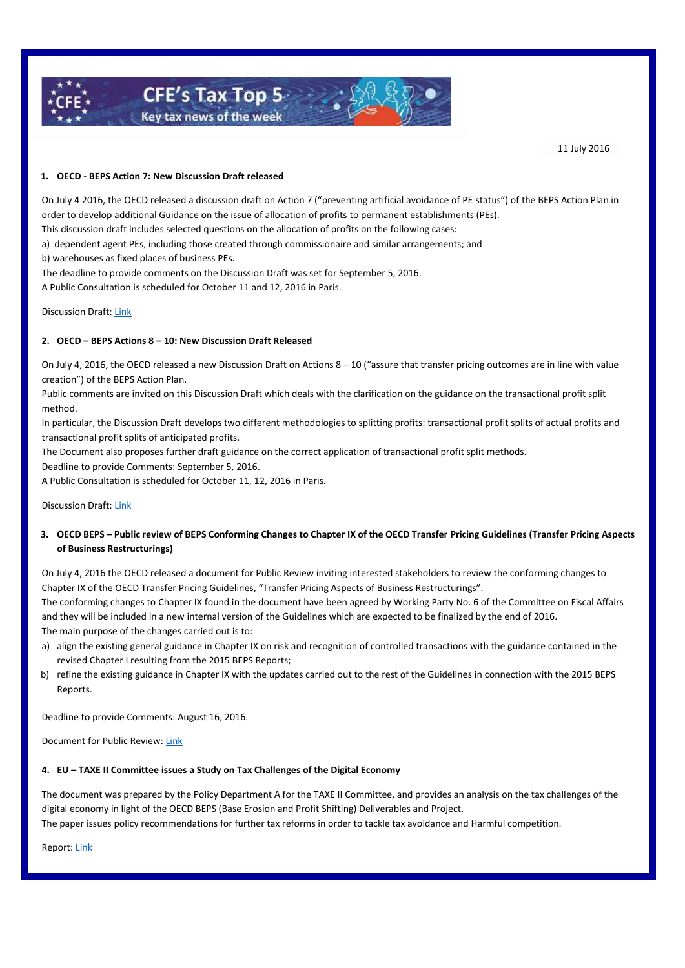

11 July 2016

## **1. OECD - BEPS Action 7: New Discussion Draft released**

On July 4 2016, the OECD released a discussion draft on Action 7 ("preventing artificial avoidance of PE status") of the BEPS Action Plan in order to develop additional Guidance on the issue of allocation of profits to permanent establishments (PEs).

This discussion draft includes selected questions on the allocation of profits on the following cases:

a) dependent agent PEs, including those created through commissionaire and similar arrangements; and

b) warehouses as fixed places of business PEs.

The deadline to provide comments on the Discussion Draft was set for September 5, 2016.

A Public Consultation is scheduled for October 11 and 12, 2016 in Paris.

#### Discussion Draft[: Link](http://www.oecd.org/tax/transfer-pricing/BEPS-discussion-draft-on-the-attribution-of-profits-to-permanent-establishments.pdf)

### **2. OECD – BEPS Actions 8 – 10: New Discussion Draft Released**

On July 4, 2016, the OECD released a new Discussion Draft on Actions 8 – 10 ("assure that transfer pricing outcomes are in line with value creation") of the BEPS Action Plan.

Public comments are invited on this Discussion Draft which deals with the clarification on the guidance on the transactional profit split method.

In particular, the Discussion Draft develops two different methodologies to splitting profits: transactional profit splits of actual profits and transactional profit splits of anticipated profits.

The Document also proposes further draft guidance on the correct application of transactional profit split methods.

Deadline to provide Comments: September 5, 2016.

A Public Consultation is scheduled for October 11, 12, 2016 in Paris.

Discussion Draft[: Link](http://www.oecd.org/tax/transfer-pricing/BEPS-discussion-draft-on-the-revised-guidance-on-profit-splits.pdf)

# **3. OECD BEPS – Public review of BEPS Conforming Changes to Chapter IX of the OECD Transfer Pricing Guidelines (Transfer Pricing Aspects of Business Restructurings)**

On July 4, 2016 the OECD released a document for Public Review inviting interested stakeholders to review the conforming changes to Chapter IX of the OECD Transfer Pricing Guidelines, "Transfer Pricing Aspects of Business Restructurings".

The conforming changes to Chapter IX found in the document have been agreed by Working Party No. 6 of the Committee on Fiscal Affairs and they will be included in a new internal version of the Guidelines which are expected to be finalized by the end of 2016. The main purpose of the changes carried out is to:

- a) align the existing general guidance in Chapter IX on risk and recognition of controlled transactions with the guidance contained in the revised Chapter I resulting from the 2015 BEPS Reports;
- b) refine the existing guidance in Chapter IX with the updates carried out to the rest of the Guidelines in connection with the 2015 BEPS Reports.

Deadline to provide Comments: August 16, 2016.

Document for Public Review: [Link](http://www.oecd.org/tax/transfer-pricing/conforming-amendments-chapter-ix-transfer-pricing-guidelines.pdf)

#### **4. EU – TAXE II Committee issues a Study on Tax Challenges of the Digital Economy**

The document was prepared by the Policy Department A for the TAXE II Committee, and provides an analysis on the tax challenges of the digital economy in light of the OECD BEPS (Base Erosion and Profit Shifting) Deliverables and Project.

The paper issues policy recommendations for further tax reforms in order to tackle tax avoidance and Harmful competition.

Report[: Link](http://www.europarl.europa.eu/RegData/etudes/STUD/2016/579002/IPOL_STU(2016)579002_EN.pdf)